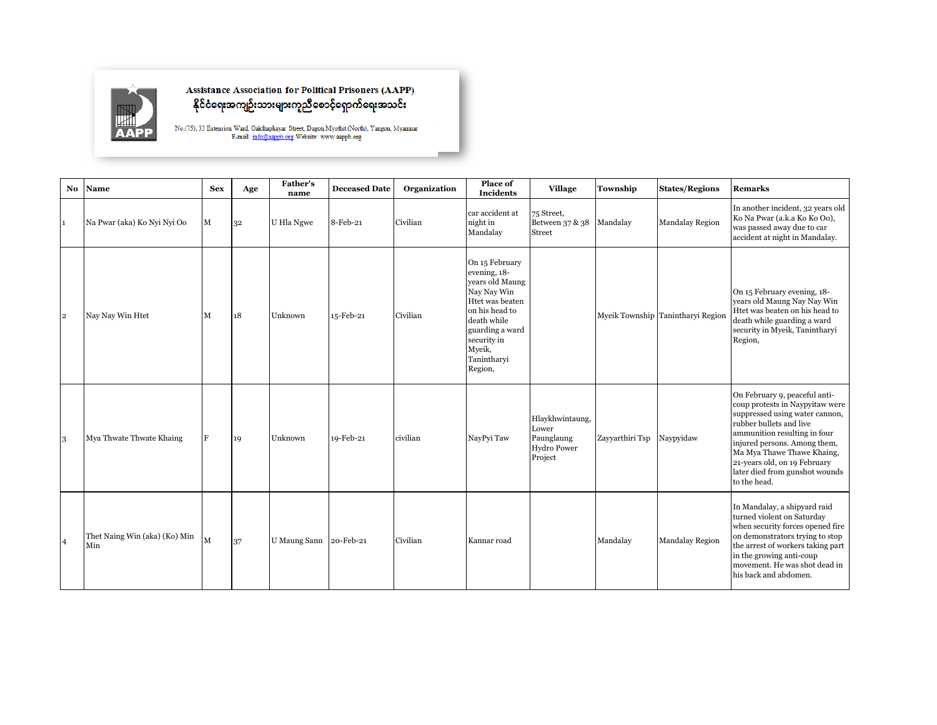

## Assistance Association for Political Prisoners (AAPP)<br>နိုင်ငံရေးအကျဉ်းသားများကူညီစောင့်ရှောက်ရေးအသင်း

 $\rm No. (75),$ 33<br> Extension Ward, Oakthaphayar Street, Dagon My<br/>othit (North), Yangon, Myanmar E-mail: i<u>mfo@aappb.org</u> Website: www.aappb.org

| No.            | Name                                 | <b>Sex</b>  | Age | <b>Father's</b><br>name | <b>Deceased Date</b> | Organization | Place of<br><b>Incidents</b>                                                                                                                                                               | <b>Village</b>                                                   | Township        | <b>States/Regions</b>             | <b>Remarks</b>                                                                                                                                                                                                                                                                                                |
|----------------|--------------------------------------|-------------|-----|-------------------------|----------------------|--------------|--------------------------------------------------------------------------------------------------------------------------------------------------------------------------------------------|------------------------------------------------------------------|-----------------|-----------------------------------|---------------------------------------------------------------------------------------------------------------------------------------------------------------------------------------------------------------------------------------------------------------------------------------------------------------|
|                | Na Pwar (aka) Ko Nyi Nyi Oo          | $\mathbf M$ | 32  | U Hla Ngwe              | 8-Feb-21             | Civilian     | car accident at<br>night in<br>Mandalay                                                                                                                                                    | 75 Street,<br>Between 37 & 38<br><b>Street</b>                   | Mandalay        | <b>Mandalay Region</b>            | In another incident, 32 years old<br>Ko Na Pwar (a.k.a Ko Ko Oo),<br>was passed away due to car<br>accident at night in Mandalay.                                                                                                                                                                             |
| $\mathbf{2}$   | Nay Nay Win Htet                     | M           | 18  | Unknown                 | 15-Feb-21            | Civilian     | On 15 February<br>evening, 18-<br>years old Maung<br>Nay Nay Win<br>Htet was beaten<br>on his head to<br>death while<br>guarding a ward<br>security in<br>Myeik,<br>Tanintharyi<br>Region, |                                                                  |                 | Myeik Township Tanintharyi Region | On 15 February evening, 18-<br>years old Maung Nay Nay Win<br>Htet was beaten on his head to<br>death while guarding a ward<br>security in Myeik, Tanintharyi<br>Region,                                                                                                                                      |
| 3              | Mya Thwate Thwate Khaing             | F           | 19  | Unknown                 | 19-Feb-21            | civilian     | NayPyi Taw                                                                                                                                                                                 | Hlaykhwintaung,<br>Lower<br>Paunglaung<br>Hydro Power<br>Project | Zayyarthiri Tsp | Naypyidaw                         | On February 9, peaceful anti-<br>coup protests in Naypyitaw were<br>suppressed using water cannon,<br>rubber bullets and live<br>ammunition resulting in four<br>injured persons. Among them,<br>Ma Mya Thawe Thawe Khaing,<br>21-years old, on 19 February<br>later died from gunshot wounds<br>to the head. |
| $\overline{4}$ | Thet Naing Win (aka) (Ko) Min<br>Min | M           | 37  | U Maung Sann 20-Feb-21  |                      | Civilian     | Kannar road                                                                                                                                                                                |                                                                  | Mandalay        | <b>Mandalay Region</b>            | In Mandalay, a shipyard raid<br>turned violent on Saturday<br>when security forces opened fire<br>on demonstrators trying to stop<br>the arrest of workers taking part<br>in the growing anti-coup<br>movement. He was shot dead in<br>his back and abdomen.                                                  |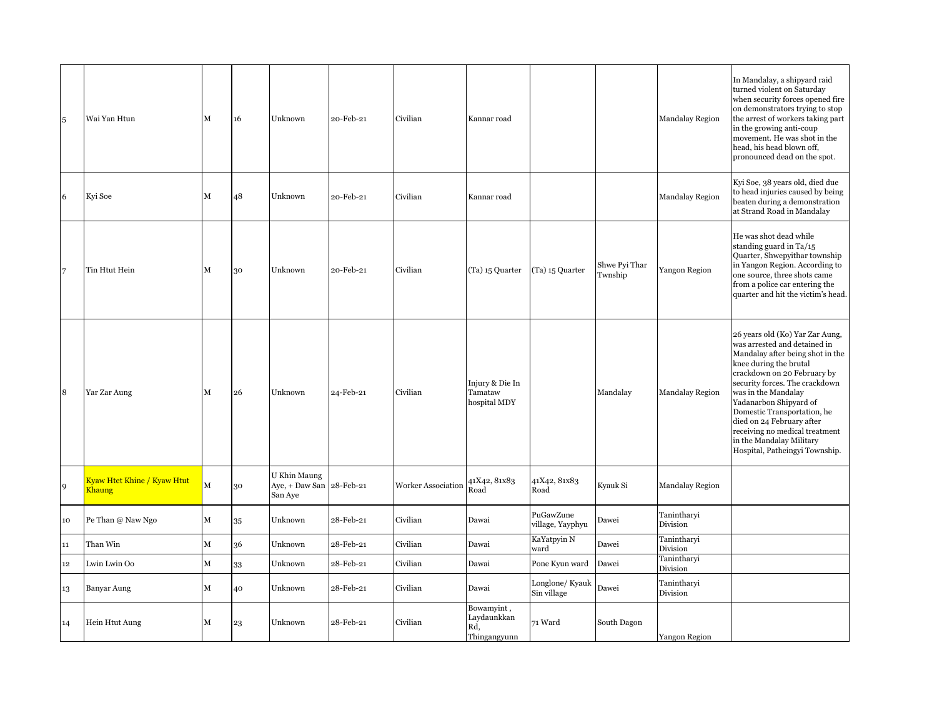| $\sqrt{5}$     | Wai Yan Htun                                              | м | 16 | Unknown                                             | 20-Feb-21 | Civilian           | Kannar road                                      |                                |                          | <b>Mandalay Region</b>  | In Mandalay, a shipyard raid<br>turned violent on Saturday<br>when security forces opened fire<br>on demonstrators trying to stop<br>the arrest of workers taking part<br>in the growing anti-coup<br>movement. He was shot in the<br>head, his head blown off,<br>pronounced dead on the spot.                                                                                                             |
|----------------|-----------------------------------------------------------|---|----|-----------------------------------------------------|-----------|--------------------|--------------------------------------------------|--------------------------------|--------------------------|-------------------------|-------------------------------------------------------------------------------------------------------------------------------------------------------------------------------------------------------------------------------------------------------------------------------------------------------------------------------------------------------------------------------------------------------------|
| 6              | Kyi Soe                                                   | М | 48 | Unknown                                             | 20-Feb-21 | Civilian           | Kannar road                                      |                                |                          | Mandalay Region         | Kyi Soe, 38 years old, died due<br>to head injuries caused by being<br>beaten during a demonstration<br>at Strand Road in Mandalay                                                                                                                                                                                                                                                                          |
| $\overline{7}$ | Tin Htut Hein                                             | M | 30 | Unknown                                             | 20-Feb-21 | Civilian           | (Ta) 15 Quarter                                  | (Ta) 15 Quarter                | Shwe Pyi Thar<br>Twnship | Yangon Region           | He was shot dead while<br>standing guard in Ta/15<br>Quarter, Shwepyithar township<br>in Yangon Region. According to<br>one source, three shots came<br>from a police car entering the<br>quarter and hit the victim's head.                                                                                                                                                                                |
| 8              | Yar Zar Aung                                              | М | 26 | Unknown                                             | 24-Feb-21 | Civilian           | Injury & Die In<br>Tamataw<br>hospital MDY       |                                | Mandalay                 | <b>Mandalay Region</b>  | 26 years old (Ko) Yar Zar Aung,<br>was arrested and detained in<br>Mandalay after being shot in the<br>knee during the brutal<br>crackdown on 20 February by<br>security forces. The crackdown<br>was in the Mandalay<br>Yadanarbon Shipyard of<br>Domestic Transportation, he<br>died on 24 February after<br>receiving no medical treatment<br>in the Mandalay Military<br>Hospital, Patheingyi Township. |
| 9              | <mark>Kyaw Htet Khine / Kyaw Htut</mark><br><b>Khaung</b> | M | 30 | U Khin Maung<br>Aye, + Daw San 28-Feb-21<br>San Aye |           | Worker Association | 41X42, 81x83<br>Road                             | 41X42, 81x83<br>Road           | Kyauk Si                 | <b>Mandalay Region</b>  |                                                                                                                                                                                                                                                                                                                                                                                                             |
| 10             | Pe Than @ Naw Ngo                                         | М | 35 | Unknown                                             | 28-Feb-21 | Civilian           | Dawai                                            | PuGawZune<br>village, Yayphyu  | Dawei                    | Tanintharyi<br>Division |                                                                                                                                                                                                                                                                                                                                                                                                             |
| $11\,$         | Than Win                                                  | М | 36 | Unknown                                             | 28-Feb-21 | Civilian           | Dawai                                            | KaYatpyin N<br>ward            | Dawei                    | Tanintharyi<br>Division |                                                                                                                                                                                                                                                                                                                                                                                                             |
| $12\,$         | Lwin Lwin Oo                                              | М | 33 | Unknown                                             | 28-Feb-21 | Civilian           | Dawai                                            | Pone Kyun ward                 | Dawei                    | Tanintharyi<br>Division |                                                                                                                                                                                                                                                                                                                                                                                                             |
| 13             | Banyar Aung                                               | м | 40 | Unknown                                             | 28-Feb-21 | Civilian           | Dawai                                            | Longlone/ Kyauk<br>Sin village | Dawei                    | Tanintharyi<br>Division |                                                                                                                                                                                                                                                                                                                                                                                                             |
| 14             | Hein Htut Aung                                            | М | 23 | Unknown                                             | 28-Feb-21 | Civilian           | Bowamyint,<br>Laydaunkkan<br>Rd,<br>Thingangyunn | 71 Ward                        | South Dagon              | Yangon Region           |                                                                                                                                                                                                                                                                                                                                                                                                             |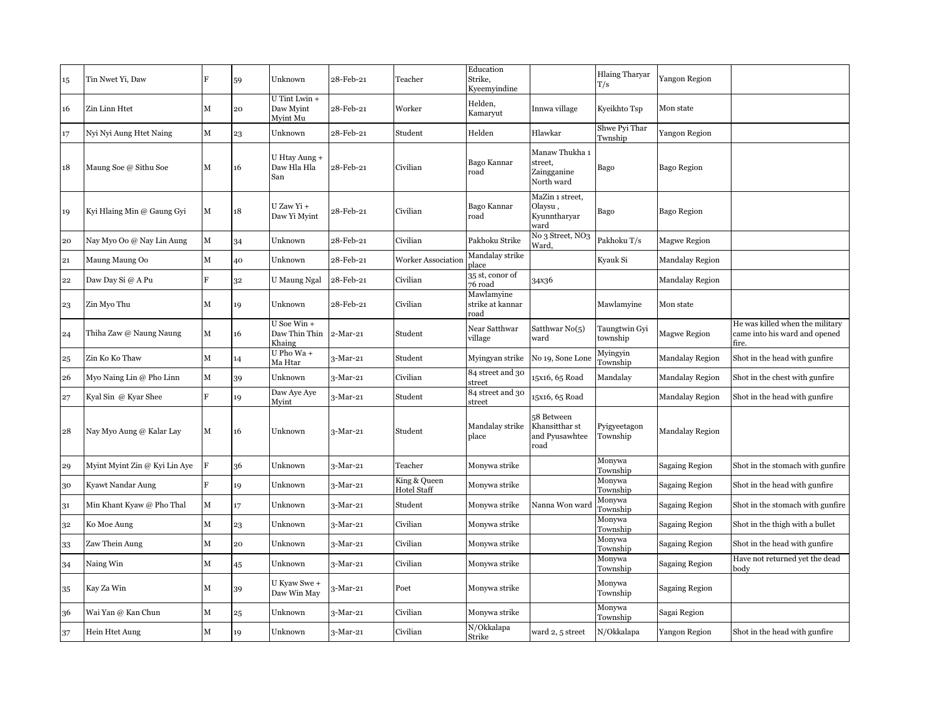| 15 | Tin Nwet Yi, Daw              | F | 59 | Unknown                                  | 28-Feb-21  | Teacher                            | Education<br>Strike,<br>Kveemvindine   |                                                        | <b>Hlaing Tharyar</b><br>T/s | Yangon Region         |                                                                           |
|----|-------------------------------|---|----|------------------------------------------|------------|------------------------------------|----------------------------------------|--------------------------------------------------------|------------------------------|-----------------------|---------------------------------------------------------------------------|
| 16 | Zin Linn Htet                 | M | 20 | U Tint Lwin +<br>Daw Myint<br>Myint Mu   | 28-Feb-21  | Worker                             | Helden,<br>Kamaryut                    | Innwa village                                          | Kyeikhto Tsp                 | Mon state             |                                                                           |
| 17 | Nyi Nyi Aung Htet Naing       | М | 23 | Unknown                                  | 28-Feb-21  | Student                            | Helden                                 | Hlawkar                                                | Shwe Pyi Thar<br>Twnship     | Yangon Region         |                                                                           |
| 18 | Maung Soe @ Sithu Soe         | М | 16 | U Htay Aung +<br>Daw Hla Hla<br>San      | 28-Feb-21  | Civilian                           | Bago Kannar<br>road                    | Manaw Thukha 1<br>street,<br>Zaingganine<br>North ward | Bago                         | <b>Bago Region</b>    |                                                                           |
| 19 | Kyi Hlaing Min @ Gaung Gyi    | М | 18 | U Zaw Yi +<br>Daw Yi Myint               | 28-Feb-21  | Civilian                           | Bago Kannar<br>road                    | MaZin 1 street,<br>Olaysu<br>Kyunntharyar<br>ward      | Bago                         | Bago Region           |                                                                           |
| 20 | Nay Myo Oo @ Nay Lin Aung     | M | 34 | Unknown                                  | 28-Feb-21  | Civilian                           | Pakhoku Strike                         | No <sub>3</sub> Street, NO <sub>3</sub><br>Ward,       | Pakhoku T/s                  | Magwe Region          |                                                                           |
| 21 | Maung Maung Oo                | М | 40 | Unknown                                  | 28-Feb-21  | <b>Worker Association</b>          | Mandalay strike<br>place               |                                                        | Kyauk Si                     | Mandalay Region       |                                                                           |
| 22 | Daw Day Si @ A Pu             | F | 32 | U Maung Ngal                             | 28-Feb-21  | Civilian                           | 35 st, conor of<br>76 road             | 34x36                                                  |                              | Mandalay Region       |                                                                           |
| 23 | Zin Myo Thu                   | М | 19 | Unknown                                  | 28-Feb-21  | Civilian                           | Mawlamyine<br>strike at kannar<br>road |                                                        | Mawlamyine                   | Mon state             |                                                                           |
| 24 | Thiha Zaw @ Naung Naung       | М | 16 | $U$ Soe Win +<br>Daw Thin Thin<br>Khaing | 2-Mar-21   | Student                            | Near Satthwar<br>village               | Satthwar $No(5)$<br>ward                               | Taungtwin Gyi<br>township    | Magwe Region          | He was killed when the military<br>came into his ward and opened<br>fire. |
| 25 | Zin Ko Ko Thaw                | М | 14 | U Pho Wa+<br>Ma Htar                     | 3-Mar-21   | Student                            | Myingyan strike                        | No 19, Sone Lone                                       | Myingyin<br>Township         | Mandalay Region       | Shot in the head with gunfire                                             |
| 26 | Myo Naing Lin @ Pho Linn      | М | 39 | Unknown                                  | 3-Mar-21   | Civilian                           | 84 street and 30<br>street             | 15x16, 65 Road                                         | Mandalay                     | Mandalay Region       | Shot in the chest with gunfire                                            |
| 27 | Kyal Sin @ Kyar Shee          | F | 19 | Daw Aye Aye<br>Myint                     | 3-Mar-21   | Student                            | 84 street and 30<br>street             | 15x16, 65 Road                                         |                              | Mandalay Region       | Shot in the head with gunfire                                             |
| 28 | Nay Myo Aung @ Kalar Lay      | М | 16 | Unknown                                  | $3-Mar-21$ | Student                            | Mandalay strike<br>place               | 58 Between<br>Khansitthar st<br>and Pyusawhtee<br>road | Pyigyeetagon<br>Township     | Mandalay Region       |                                                                           |
| 29 | Myint Myint Zin @ Kyi Lin Aye | F | 36 | Unknown                                  | 3-Mar-21   | Teacher                            | Monywa strike                          |                                                        | Monywa<br>Township           | <b>Sagaing Region</b> | Shot in the stomach with gunfire                                          |
| 30 | Kyawt Nandar Aung             | F | 19 | Unknown                                  | $3-Mar-21$ | King & Queen<br><b>Hotel Staff</b> | Monywa strike                          |                                                        | Monywa<br>Township           | <b>Sagaing Region</b> | Shot in the head with gunfire                                             |
| 31 | Min Khant Kyaw @ Pho Thal     | M | 17 | Unknown                                  | 3-Mar-21   | Student                            | Monywa strike                          | Nanna Won ward                                         | Monywa<br>Township           | <b>Sagaing Region</b> | Shot in the stomach with gunfire                                          |
| 32 | Ko Moe Aung                   | М | 23 | Unknown                                  | 3-Mar-21   | Civilian                           | Monywa strike                          |                                                        | Monywa<br>Township           | <b>Sagaing Region</b> | Shot in the thigh with a bullet                                           |
| 33 | Zaw Thein Aung                | М | 20 | Unknown                                  | 3-Mar-21   | Civilian                           | Monywa strike                          |                                                        | Monywa<br>Township           | <b>Sagaing Region</b> | Shot in the head with gunfire                                             |
| 34 | Naing Win                     | М | 45 | Unknown                                  | $3-Mar-21$ | Civilian                           | Monywa strike                          |                                                        | Monywa<br>Township           | <b>Sagaing Region</b> | Have not returned yet the dead<br>body                                    |
| 35 | Kay Za Win                    | М | 39 | U Kyaw Swe +<br>Daw Win May              | 3-Mar-21   | Poet                               | Monywa strike                          |                                                        | Monywa<br>Township           | Sagaing Region        |                                                                           |
| 36 | Wai Yan @ Kan Chun            | М | 25 | Unknown                                  | $3-Mar-21$ | Civilian                           | Monywa strike                          |                                                        | Monywa<br>Township           | Sagai Region          |                                                                           |
| 37 | Hein Htet Aung                | М | 19 | Unknown                                  | $3-Mar-21$ | Civilian                           | N/Okkalapa<br>Strike                   | ward 2, 5 street                                       | N/Okkalapa                   | Yangon Region         | Shot in the head with gunfire                                             |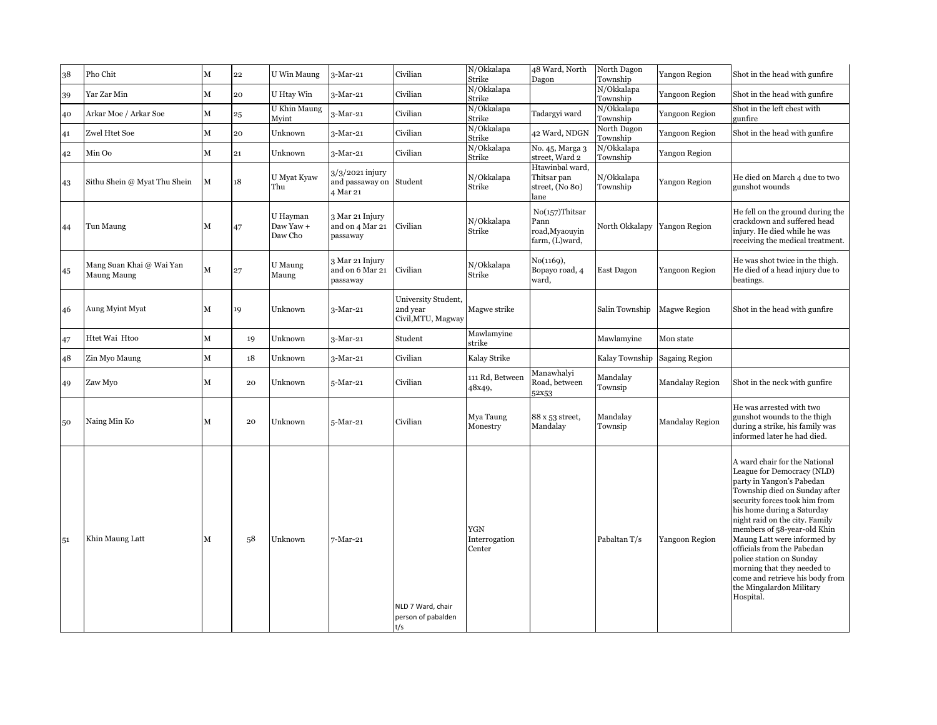| 38 | Pho Chit                                | М | 22 | U Win Maung                      | 3-Mar-21                                       | Civilian                                              | N/Okkalapa<br>Strike           | 48 Ward, North<br>Dagon                                    | North Dagon<br>Township | Yangon Region          | Shot in the head with gunfire                                                                                                                                                                                                                                                                                                                                                                                                                                 |
|----|-----------------------------------------|---|----|----------------------------------|------------------------------------------------|-------------------------------------------------------|--------------------------------|------------------------------------------------------------|-------------------------|------------------------|---------------------------------------------------------------------------------------------------------------------------------------------------------------------------------------------------------------------------------------------------------------------------------------------------------------------------------------------------------------------------------------------------------------------------------------------------------------|
| 39 | Yar Zar Min                             | M | 20 | U Htav Win                       | 3-Mar-21                                       | Civilian                                              | N/Okkalapa<br>Strike           |                                                            | N/Okkalapa<br>Township  | Yangoon Region         | Shot in the head with gunfire                                                                                                                                                                                                                                                                                                                                                                                                                                 |
| 40 | Arkar Moe / Arkar Soe                   | M | 25 | U Khin Maung<br>Myint            | 3-Mar-21                                       | Civilian                                              | N/Okkalapa<br>Strike           | Tadargyi ward                                              | N/Okkalapa<br>Township  | Yangoon Region         | Shot in the left chest with<br>gunfire                                                                                                                                                                                                                                                                                                                                                                                                                        |
| 41 | Zwel Htet Soe                           | M | 20 | Unknown                          | $3-Mar-21$                                     | Civilian                                              | N/Okkalapa<br>Strike           | 42 Ward, NDGN                                              | North Dagon<br>Township | Yangoon Region         | Shot in the head with gunfire                                                                                                                                                                                                                                                                                                                                                                                                                                 |
| 42 | Min Oo                                  | M | 21 | Unknown                          | $3-Mar-21$                                     | Civilian                                              | N/Okkalapa<br>Strike           | No. 45, Marga 3<br>street. Ward 2                          | N/Okkalapa<br>Township  | Yangon Region          |                                                                                                                                                                                                                                                                                                                                                                                                                                                               |
| 43 | Sithu Shein @ Myat Thu Shein            | М | 18 | U Myat Kyaw<br>Thu               | 3/3/2021 injury<br>and passaway on<br>4 Mar 21 | Student                                               | N/Okkalapa<br>Strike           | Htawinbal ward.<br>Thitsar pan<br>street, (No 80)<br>lane  | N/Okkalapa<br>Township  | Yangon Region          | He died on March 4 due to two<br>gunshot wounds                                                                                                                                                                                                                                                                                                                                                                                                               |
| 44 | Tun Maung                               | М | 47 | U Hayman<br>Daw Yaw +<br>Daw Cho | 3 Mar 21 Injury<br>and on 4 Mar 21<br>passaway | Civilian                                              | N/Okkalapa<br>Strike           | No(157)Thitsar<br>Pann<br>road, Myaouyin<br>farm, (L)ward, | North Okkalapy          | Yangon Region          | He fell on the ground during the<br>crackdown and suffered head<br>injury. He died while he was<br>receiving the medical treatment.                                                                                                                                                                                                                                                                                                                           |
| 45 | Mang Suan Khai @ Wai Yan<br>Maung Maung | M | 27 | U Maung<br>Maung                 | 3 Mar 21 Injury<br>and on 6 Mar 21<br>passaway | Civilian                                              | N/Okkalapa<br>Strike           | No(1169),<br>Bopayo road, 4<br>ward,                       | East Dagon              | Yangoon Region         | He was shot twice in the thigh.<br>He died of a head injury due to<br>beatings.                                                                                                                                                                                                                                                                                                                                                                               |
| 46 | Aung Myint Myat                         | М | 19 | Unknown                          | 3-Mar-21                                       | University Student,<br>2nd year<br>Civil, MTU, Magway | Magwe strike                   |                                                            | Salin Township          | <b>Magwe Region</b>    | Shot in the head with gunfire                                                                                                                                                                                                                                                                                                                                                                                                                                 |
| 47 | Htet Wai Htoo                           | М | 19 | Unknown                          | $3-Mar-21$                                     | Student                                               | Mawlamyine<br>strike           |                                                            | Mawlamyine              | Mon state              |                                                                                                                                                                                                                                                                                                                                                                                                                                                               |
| 48 | Zin Myo Maung                           | M | 18 | Unknown                          | $3-Mar-21$                                     | Civilian                                              | Kalay Strike                   |                                                            | Kalay Township          | <b>Sagaing Region</b>  |                                                                                                                                                                                                                                                                                                                                                                                                                                                               |
| 49 | Zaw Myo                                 | М | 20 | Unknown                          | 5-Mar-21                                       | Civilian                                              | 111 Rd, Between<br>48x49,      | Manawhalyi<br>Road, between<br>52x53                       | Mandalay<br>Townsip     | Mandalay Region        | Shot in the neck with gunfire.                                                                                                                                                                                                                                                                                                                                                                                                                                |
| 50 | Naing Min Ko                            | М | 20 | Unknown                          | 5-Mar-21                                       | Civilian                                              | Mya Taung<br>Monestry          | 88 x 53 street,<br>Mandalay                                | Mandalay<br>Townsip     | <b>Mandalay Region</b> | He was arrested with two<br>gunshot wounds to the thigh<br>during a strike, his family was<br>informed later he had died.                                                                                                                                                                                                                                                                                                                                     |
| 51 | Khin Maung Latt                         | М | 58 | Unknown                          | 7-Mar-21                                       | NLD 7 Ward, chair<br>person of pabalden<br>t/s        | YGN<br>Interrogation<br>Center |                                                            | Pabaltan T/s            | Yangoon Region         | A ward chair for the National<br>League for Democracy (NLD)<br>party in Yangon's Pabedan<br>Township died on Sunday after<br>security forces took him from<br>his home during a Saturday<br>night raid on the city. Family<br>members of 58-year-old Khin<br>Maung Latt were informed by<br>officials from the Pabedan<br>police station on Sunday<br>morning that they needed to<br>come and retrieve his body from<br>the Mingalardon Military<br>Hospital. |